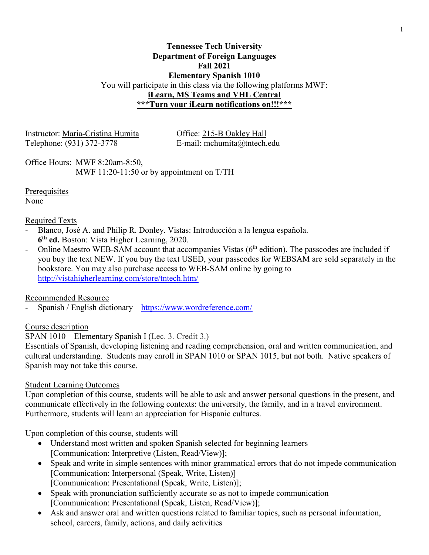## **Tennessee Tech University Department of Foreign Languages Fall 2021 Elementary Spanish 1010** You will participate in this class via the following platforms MWF: **iLearn, MS Teams and VHL Central \*\*\*Turn your iLearn notifications on!!!\*\*\***

Instructor: Maria-Cristina Humita Office: 215-B Oakley Hall Telephone: (931) 372-3778 E-mail: mchumita@tntech.edu

Office Hours: MWF 8:20am-8:50, MWF 11:20-11:50 or by appointment on T/TH

**Prerequisites** 

None

## Required Texts

- Blanco, José A. and Philip R. Donley. Vistas: Introducción a la lengua española. **6th ed.** Boston: Vista Higher Learning, 2020.
- Online Maestro WEB-SAM account that accompanies Vistas (6<sup>th</sup> edition). The passcodes are included if you buy the text NEW. If you buy the text USED, your passcodes for WEBSAM are sold separately in the bookstore. You may also purchase access to WEB-SAM online by going to <http://vistahigherlearning.com/store/tntech.htm/>

# Recommended Resource

- Spanish / English dictionary – <https://www.wordreference.com/>

# Course description

SPAN 1010—Elementary Spanish I (Lec. 3. Credit 3.)

Essentials of Spanish, developing listening and reading comprehension, oral and written communication, and cultural understanding. Students may enroll in SPAN 1010 or SPAN 1015, but not both. Native speakers of Spanish may not take this course.

# Student Learning Outcomes

Upon completion of this course, students will be able to ask and answer personal questions in the present, and communicate effectively in the following contexts: the university, the family, and in a travel environment. Furthermore, students will learn an appreciation for Hispanic cultures.

Upon completion of this course, students will

- Understand most written and spoken Spanish selected for beginning learners [Communication: Interpretive (Listen, Read/View)];
- Speak and write in simple sentences with minor grammatical errors that do not impede communication [Communication: Interpersonal (Speak, Write, Listen)] [Communication: Presentational (Speak, Write, Listen)];
- Speak with pronunciation sufficiently accurate so as not to impede communication [Communication: Presentational (Speak, Listen, Read/View)];
- Ask and answer oral and written questions related to familiar topics, such as personal information, school, careers, family, actions, and daily activities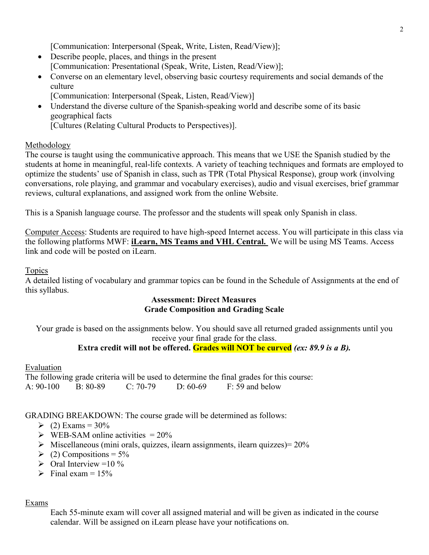[Communication: Interpersonal (Speak, Write, Listen, Read/View)];

- Describe people, places, and things in the present [Communication: Presentational (Speak, Write, Listen, Read/View)];
- Converse on an elementary level, observing basic courtesy requirements and social demands of the culture
	- [Communication: Interpersonal (Speak, Listen, Read/View)]
- Understand the diverse culture of the Spanish-speaking world and describe some of its basic geographical facts [Cultures (Relating Cultural Products to Perspectives)].

### Methodology

The course is taught using the communicative approach. This means that we USE the Spanish studied by the students at home in meaningful, real-life contexts. A variety of teaching techniques and formats are employed to optimize the students' use of Spanish in class, such as TPR (Total Physical Response), group work (involving conversations, role playing, and grammar and vocabulary exercises), audio and visual exercises, brief grammar reviews, cultural explanations, and assigned work from the online Website.

This is a Spanish language course. The professor and the students will speak only Spanish in class.

Computer Access: Students are required to have high-speed Internet access. You will participate in this class via the following platforms MWF: **iLearn, MS Teams and VHL Central.** We will be using MS Teams. Access link and code will be posted on iLearn.

### Topics

A detailed listing of vocabulary and grammar topics can be found in the Schedule of Assignments at the end of this syllabus.

### **Assessment: Direct Measures Grade Composition and Grading Scale**

Your grade is based on the assignments below. You should save all returned graded assignments until you receive your final grade for the class.

## **Extra credit will not be offered. Grades will NOT be curved** *(ex: 89.9 is a B).*

## Evaluation

The following grade criteria will be used to determine the final grades for this course: A: 90-100 B: 80-89 C: 70-79 D: 60-69 F: 59 and below

## GRADING BREAKDOWN: The course grade will be determined as follows:

- $\geq$  (2) Exams = 30%
- $\triangleright$  WEB-SAM online activities = 20%
- $\triangleright$  Miscellaneous (mini orals, quizzes, ilearn assignments, ilearn quizzes) = 20%
- $\geq$  (2) Compositions = 5%
- $\triangleright$  Oral Interview =10 %
- $\triangleright$  Final exam = 15%

#### Exams

Each 55-minute exam will cover all assigned material and will be given as indicated in the course calendar. Will be assigned on iLearn please have your notifications on.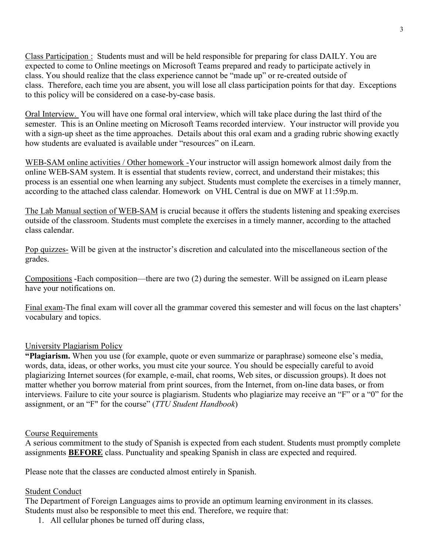Class Participation : Students must and will be held responsible for preparing for class DAILY. You are expected to come to Online meetings on Microsoft Teams prepared and ready to participate actively in class. You should realize that the class experience cannot be "made up" or re-created outside of class. Therefore, each time you are absent, you will lose all class participation points for that day. Exceptions to this policy will be considered on a case-by-case basis.

Oral Interview. You will have one formal oral interview, which will take place during the last third of the semester. This is an Online meeting on Microsoft Teams recorded interview. Your instructor will provide you with a sign-up sheet as the time approaches. Details about this oral exam and a grading rubric showing exactly how students are evaluated is available under "resources" on iLearn.

WEB-SAM online activities / Other homework -Your instructor will assign homework almost daily from the online WEB-SAM system. It is essential that students review, correct, and understand their mistakes; this process is an essential one when learning any subject. Students must complete the exercises in a timely manner, according to the attached class calendar. Homework on VHL Central is due on MWF at 11:59p.m.

The Lab Manual section of WEB-SAM is crucial because it offers the students listening and speaking exercises outside of the classroom. Students must complete the exercises in a timely manner, according to the attached class calendar.

Pop quizzes- Will be given at the instructor's discretion and calculated into the miscellaneous section of the grades.

Compositions -Each composition—there are two (2) during the semester. Will be assigned on iLearn please have your notifications on.

Final exam-The final exam will cover all the grammar covered this semester and will focus on the last chapters' vocabulary and topics.

## University Plagiarism Policy

**"Plagiarism.** When you use (for example, quote or even summarize or paraphrase) someone else's media, words, data, ideas, or other works, you must cite your source. You should be especially careful to avoid plagiarizing Internet sources (for example, e-mail, chat rooms, Web sites, or discussion groups). It does not matter whether you borrow material from print sources, from the Internet, from on-line data bases, or from interviews. Failure to cite your source is plagiarism. Students who plagiarize may receive an "F" or a "0" for the assignment, or an "F" for the course" (*TTU Student Handbook*)

#### Course Requirements

A serious commitment to the study of Spanish is expected from each student. Students must promptly complete assignments **BEFORE** class. Punctuality and speaking Spanish in class are expected and required.

Please note that the classes are conducted almost entirely in Spanish.

#### Student Conduct

The Department of Foreign Languages aims to provide an optimum learning environment in its classes. Students must also be responsible to meet this end. Therefore, we require that:

1. All cellular phones be turned off during class,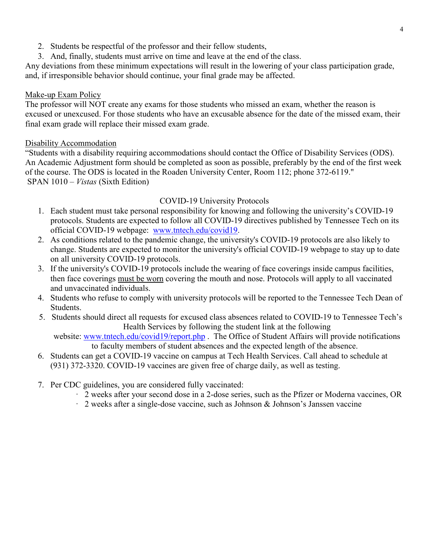- 2. Students be respectful of the professor and their fellow students,
- 3. And, finally, students must arrive on time and leave at the end of the class.

Any deviations from these minimum expectations will result in the lowering of your class participation grade, and, if irresponsible behavior should continue, your final grade may be affected.

#### Make-up Exam Policy

The professor will NOT create any exams for those students who missed an exam, whether the reason is excused or unexcused. For those students who have an excusable absence for the date of the missed exam, their final exam grade will replace their missed exam grade.

#### Disability Accommodation

"Students with a disability requiring accommodations should contact the Office of Disability Services (ODS). An Academic Adjustment form should be completed as soon as possible, preferably by the end of the first week of the course. The ODS is located in the Roaden University Center, Room 112; phone 372-6119." SPAN 1010 – *Vistas* (Sixth Edition)

#### COVID-19 University Protocols

- 1. Each student must take personal responsibility for knowing and following the university's COVID-19 protocols. Students are expected to follow all COVID-19 directives published by Tennessee Tech on its official COVID-19 webpage: [www.tntech.edu/covid19.](http://www.tntech.edu/covid19)
- 2. As conditions related to the pandemic change, the university's COVID-19 protocols are also likely to change. Students are expected to monitor the university's official COVID-19 webpage to stay up to date on all university COVID-19 protocols.
- 3. If the university's COVID-19 protocols include the wearing of face coverings inside campus facilities, then face coverings must be worn covering the mouth and nose. Protocols will apply to all vaccinated and unvaccinated individuals.
- 4. Students who refuse to comply with university protocols will be reported to the Tennessee Tech Dean of Students.
- 5. Students should direct all requests for excused class absences related to COVID-19 to Tennessee Tech's Health Services by following the student link at the following

website: [www.tntech.edu/covid19/report.php](http://www.tntech.edu/covid19/report.php). The Office of Student Affairs will provide notifications to faculty members of student absences and the expected length of the absence.

- 6. Students can get a COVID-19 vaccine on campus at Tech Health Services. Call ahead to schedule at (931) 372-3320. COVID-19 vaccines are given free of charge daily, as well as testing.
- 7. Per CDC guidelines, you are considered fully vaccinated:
	- · 2 weeks after your second dose in a 2-dose series, such as the Pfizer or Moderna vaccines, OR
	- · 2 weeks after a single-dose vaccine, such as Johnson & Johnson's Janssen vaccine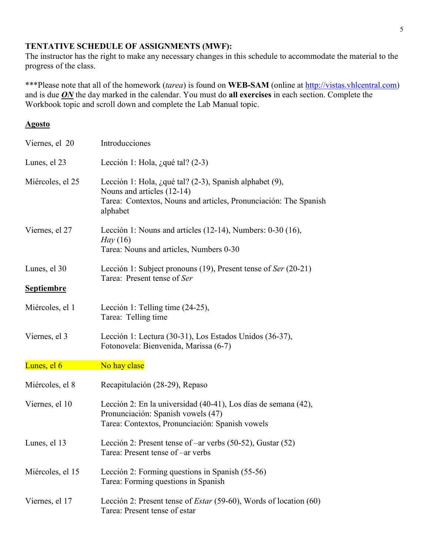## **TENTATIVE SCHEDULE OF ASSIGNMENTS (MWF):**

The instructor has the right to make any necessary changes in this schedule to accommodate the material to the progress of the class.

\*\*\*Please note that all of the homework (*tarea*) is found on **WEB-SAM** (online at [http://vistas.vhlcentral.com\)](http://vistas.vhlcentral.com/) and is due *ON* the day marked in the calendar. You must do **all exercises** in each section. Complete the Workbook topic and scroll down and complete the Lab Manual topic.

#### **Agosto**

| Viernes, el 20                    | Introducciones                                                                                                                                                           |
|-----------------------------------|--------------------------------------------------------------------------------------------------------------------------------------------------------------------------|
| Lunes, el 23                      | Lección 1: Hola, ¿qué tal? $(2-3)$                                                                                                                                       |
| Miércoles, el 25                  | Lección 1: Hola, ¿qué tal? (2-3), Spanish alphabet $(9)$ ,<br>Nouns and articles (12-14)<br>Tarea: Contextos, Nouns and articles, Pronunciación: The Spanish<br>alphabet |
| Viernes, el 27                    | Lección 1: Nouns and articles (12-14), Numbers: 0-30 (16),<br>Hay (16)<br>Tarea: Nouns and articles, Numbers 0-30                                                        |
| Lunes, el 30<br><b>Septiembre</b> | Lección 1: Subject pronouns (19), Present tense of Ser (20-21)<br>Tarea: Present tense of Ser                                                                            |
| Miércoles, el 1                   | Lección 1: Telling time (24-25),<br>Tarea: Telling time                                                                                                                  |
| Viernes, el 3                     | Lección 1: Lectura (30-31), Los Estados Unidos (36-37),<br>Fotonovela: Bienvenida, Marissa (6-7)                                                                         |
| Lunes, el 6                       | No hay clase                                                                                                                                                             |
| Miércoles, el 8                   | Recapitulación (28-29), Repaso                                                                                                                                           |
| Viernes, el 10                    | Lección 2: En la universidad (40-41), Los días de semana (42),<br>Pronunciación: Spanish vowels (47)<br>Tarea: Contextos, Pronunciación: Spanish vowels                  |
| Lunes, el 13                      | Lección 2: Present tense of –ar verbs (50-52), Gustar (52)<br>Tarea: Present tense of –ar verbs                                                                          |
| Miércoles, el 15                  | Lección 2: Forming questions in Spanish (55-56)<br>Tarea: Forming questions in Spanish                                                                                   |
| Viernes, el 17                    | Lección 2: Present tense of <i>Estar</i> (59-60), Words of location (60)<br>Tarea: Present tense of estar                                                                |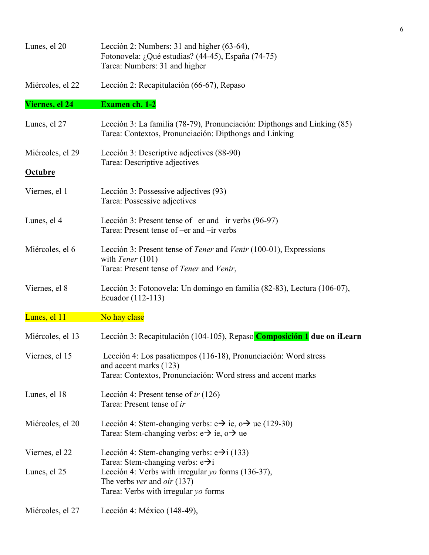| Lunes, el 20     | Lección 2: Numbers: 31 and higher (63-64),<br>Fotonovela: ¿Qué estudias? (44-45), España (74-75)<br>Tarea: Numbers: 31 and higher                                                         |
|------------------|-------------------------------------------------------------------------------------------------------------------------------------------------------------------------------------------|
| Miércoles, el 22 | Lección 2: Recapitulación (66-67), Repaso                                                                                                                                                 |
| Viernes, el 24   | <b>Examen ch. 1-2</b>                                                                                                                                                                     |
| Lunes, el 27     | Lección 3: La familia (78-79), Pronunciación: Dipthongs and Linking (85)<br>Tarea: Contextos, Pronunciación: Dipthongs and Linking                                                        |
| Miércoles, el 29 | Lección 3: Descriptive adjectives (88-90)<br>Tarea: Descriptive adjectives                                                                                                                |
| <b>Octubre</b>   |                                                                                                                                                                                           |
| Viernes, el 1    | Lección 3: Possessive adjectives (93)<br>Tarea: Possessive adjectives                                                                                                                     |
| Lunes, el 4      | Lección 3: Present tense of $-$ er and $-$ ir verbs (96-97)<br>Tarea: Present tense of -er and -ir verbs                                                                                  |
| Miércoles, el 6  | Lección 3: Present tense of <i>Tener</i> and <i>Venir</i> (100-01), Expressions<br>with <i>Tener</i> $(101)$<br>Tarea: Present tense of Tener and Venir,                                  |
| Viernes, el 8    | Lección 3: Fotonovela: Un domingo en familia (82-83), Lectura (106-07),<br>Ecuador (112-113)                                                                                              |
| Lunes, el 11     | No hay clase                                                                                                                                                                              |
| Miércoles, el 13 | Lección 3: Recapitulación (104-105), Repaso Composición 1 due on iLearn                                                                                                                   |
| Viernes, el 15   | Lección 4: Los pasatiempos (116-18), Pronunciación: Word stress<br>and accent marks (123)<br>Tarea: Contextos, Pronunciación: Word stress and accent marks                                |
| Lunes, el 18     | Lección 4: Present tense of <i>ir</i> $(126)$<br>Tarea: Present tense of ir                                                                                                               |
| Miércoles, el 20 | Lección 4: Stem-changing verbs: $e \rightarrow ie$ , $o \rightarrow ue$ (129-30)<br>Tarea: Stem-changing verbs: $e \rightarrow ie$ , $o \rightarrow ue$                                   |
| Viernes, el 22   | Lección 4: Stem-changing verbs: $e\rightarrow i(133)$                                                                                                                                     |
| Lunes, el 25     | Tarea: Stem-changing verbs: $e\rightarrow i$<br>Lección 4: Verbs with irregular yo forms (136-37),<br>The verbs <i>ver</i> and <i>oir</i> $(137)$<br>Tarea: Verbs with irregular yo forms |
| Miércoles, el 27 | Lección 4: México (148-49),                                                                                                                                                               |